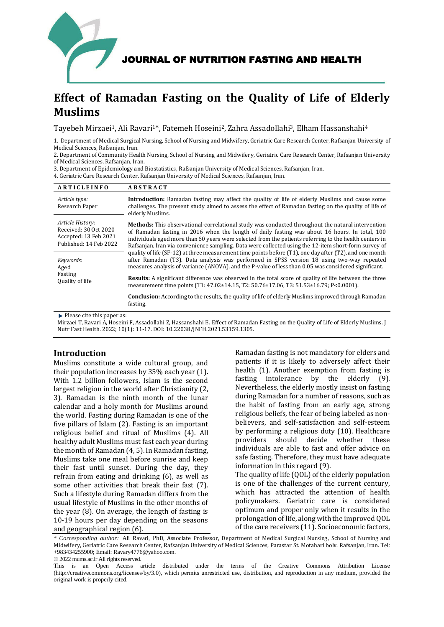

# **Effect of Ramadan Fasting on the Quality of Life of Elderly Muslims**

Tayebeh Mirzaei<sup>1</sup>, Ali Ravari<sup>1\*</sup>, Fatemeh Hoseini<sup>2</sup>, Zahra Assadollahi<sup>3</sup>, Elham Hassanshahi<sup>4</sup>

1. Department of Medical Surgical Nursing, School of Nursing and Midwifery, Geriatric Care Research Center, Rafsanjan University of Medical Sciences, Rafsanjan, Iran.

2. Department of Community Health Nursing, School of Nursing and Midwifery, Geriatric Care Research Center, Rafsanjan University of Medical Sciences, Rafsanjan, Iran.

3. Department of Epidemiology and Biostatistics, Rafsanjan University of Medical Sciences, Rafsanjan, Iran. 4. Geriatric Care Research Center, Rafsanjan University of Medical Sciences, Rafsanjan, Iran.

| <b>ARTICLEINFO</b>                                                                           | <b>ABSTRACT</b>                                                                                                                                                                                                                                                                                                                                                                                                             |
|----------------------------------------------------------------------------------------------|-----------------------------------------------------------------------------------------------------------------------------------------------------------------------------------------------------------------------------------------------------------------------------------------------------------------------------------------------------------------------------------------------------------------------------|
| Article type:<br>Research Paper                                                              | <b>Introduction:</b> Ramadan fasting may affect the quality of life of elderly Muslims and cause some<br>challenges. The present study aimed to assess the effect of Ramadan fasting on the quality of life of<br>elderly Muslims.                                                                                                                                                                                          |
| Article History:<br>Received: 30 Oct 2020<br>Accepted: 13 Feb 2021<br>Published: 14 Feb 2022 | <b>Methods:</b> This observational-correlational study was conducted throughout the natural intervention<br>of Ramadan fasting in 2016 when the length of daily fasting was about 16 hours. In total, 100<br>individuals aged more than 60 years were selected from the patients referring to the health centers in<br>Rafsanjan, Iran via convenience sampling. Data were collected using the 12-item short-form survey of |
| Keywords:<br>Aged                                                                            | quality of life (SF-12) at three measurement time points before (T1), one day after (T2), and one month<br>after Ramadan (T3). Data analysis was performed in SPSS version 18 using two-way repeated<br>measures analysis of variance (ANOVA), and the P-value of less than 0.05 was considered significant.                                                                                                                |
| Fasting<br>Quality of life                                                                   | <b>Results:</b> A significant difference was observed in the total score of quality of life between the three<br>measurement time points (T1: 47.02±14.15, T2: 50.76±17.06, T3: 51.53±16.79; P<0.0001).                                                                                                                                                                                                                     |
|                                                                                              | <b>Conclusion:</b> According to the results, the quality of life of elderly Muslims improved through Ramadan<br>fasting.                                                                                                                                                                                                                                                                                                    |

 $\blacktriangleright$  Please cite this paper as:

Mirzaei T, Ravari A, Hoseini F, Assadollahi Z, Hassanshahi E. Effect of Ramadan Fasting on the Quality of Life of Elderly Muslims. J Nutr Fast Health. 2022; 10(1): 11-17. DOI: 10.22038/JNFH.2021.53159.1305.

# **Introduction**

Muslims constitute a wide cultural group, and their population increases by 35% each year [\(1\)](#page-4-0). With 1.2 billion followers, Islam is the second largest religion in the world after Christianity [\(2,](#page-4-1)  [3\)](#page-5-0). Ramadan is the ninth month of the lunar calendar and a holy month for Muslims around the world. Fasting during Ramadan is one of the five pillars of Islam [\(2\)](#page-4-1). Fasting is an important religious belief and ritual of Muslims [\(4\)](#page-5-1). All healthy adult Muslims must fast each year during the month of Ramadan [\(4,](#page-5-1) [5\)](#page-5-2). In Ramadan fasting, Muslims take one meal before sunrise and keep their fast until sunset. During the day, they refrain from eating and drinking [\(6\)](#page-5-3), as well as some other activities that break their fast [\(7\)](#page-5-4). Such a lifestyle during Ramadan differs from the usual lifestyle of Muslims in the other months of the year [\(8\)](#page-5-5). On average, the length of fasting is 10-19 hours per day depending on the seasons and geographical region [\(6\)](#page-5-3).

Ramadan fasting is not mandatory for elders and patients if it is likely to adversely affect their health [\(1\)](#page-4-0). Another exemption from fasting is fasting intolerance by the elderly [\(9\)](#page-5-6). Nevertheless, the elderly mostly insist on fasting during Ramadan for a number of reasons, such as the habit of fasting from an early age, strong religious beliefs, the fear of being labeled as nonbelievers, and self-satisfaction and self-esteem by performing a religious duty [\(10\)](#page-5-7). Healthcare providers should decide whether these individuals are able to fast and offer advice on safe fasting. Therefore, they must have adequate information in this regard [\(9\)](#page-5-6).

The quality of life (QOL) of the elderly population is one of the challenges of the current century, which has attracted the attention of health policymakers. Geriatric care is considered optimum and proper only when it results in the prolongation of life, along with the improved QOL of the care receivers [\(11\)](#page-5-8). Socioeconomic factors,

\* *Corresponding author:* Ali Ravari, PhD, Associate Professor, Department of Medical Surgical Nursing, School of Nursing and Midwifery, Geriatric Care Research Center, Rafsanjan University of Medical Sciences, Parastar St. Motahari bolv. Rafsanjan, Iran. Tel: +983434255900; Email: Ravary4776@yahoo.com.

© 2022 mums.ac.ir All rights reserved.

This is an Open Access article distributed under the terms of the Creative Commons Attribution License (http://creativecommons.org/licenses/by/3.0), which permits unrestricted use, distribution, and reproduction in any medium, provided the original work is properly cited.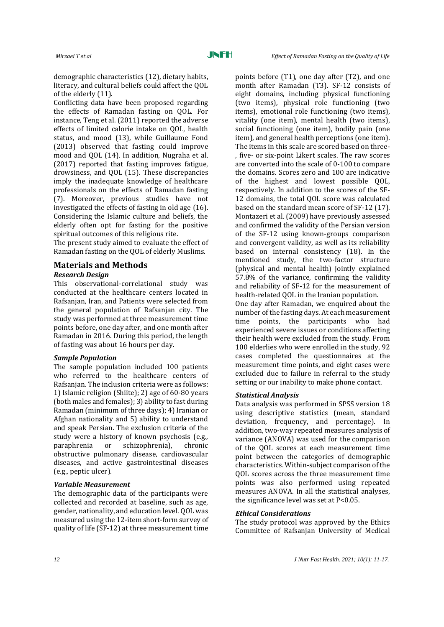demographic characteristics [\(12\)](#page-5-9), dietary habits, literacy, and cultural beliefs could affect the QOL of the elderly [\(11\)](#page-5-8).

Conflicting data have been proposed regarding the effects of Ramadan fasting on QOL. For instance, Teng et al. (2011) reported the adverse effects of limited calorie intake on QOL, health status, and mood [\(13\)](#page-5-10), while Guillaume Fond (2013) observed that fasting could improve mood and QOL [\(14\)](#page-5-11). In addition, Nugraha et al. (2017) reported that fasting improves fatigue, drowsiness, and QOL [\(15\)](#page-5-12). These discrepancies imply the inadequate knowledge of healthcare professionals on the effects of Ramadan fasting [\(7\)](#page-5-4). Moreover, previous studies have not investigated the effects of fasting in old age [\(16\)](#page-5-13). Considering the Islamic culture and beliefs, the elderly often opt for fasting for the positive spiritual outcomes of this religious rite.

The present study aimed to evaluate the effect of Ramadan fasting on the QOL of elderly Muslims.

# **Materials and Methods**

## *Research Design*

This observational-correlational study was conducted at the healthcare centers located in Rafsanjan, Iran, and Patients were selected from the general population of Rafsanjan city. The study was performed at three measurement time points before, one day after, and one month after Ramadan in 2016. During this period, the length of fasting was about 16 hours per day.

#### *Sample Population*

The sample population included 100 patients who referred to the healthcare centers of Rafsanjan. The inclusion criteria were as follows: 1) Islamic religion (Shiite); 2) age of 60-80 years (both males and females); 3) ability to fast during Ramadan (minimum of three days); 4) Iranian or Afghan nationality and 5) ability to understand and speak Persian. The exclusion criteria of the study were a history of known psychosis (e.g., paraphrenia or schizophrenia), chronic obstructive pulmonary disease, cardiovascular diseases, and active gastrointestinal diseases (e.g., peptic ulcer).

#### *Variable Measurement*

The demographic data of the participants were collected and recorded at baseline, such as age, gender, nationality, and education level. QOL was measured using the 12-item short-form survey of quality of life (SF-12) at three measurement time

points before (T1), one day after (T2), and one month after Ramadan (T3). SF-12 consists of eight domains, including physical functioning (two items), physical role functioning (two items), emotional role functioning (two items), vitality (one item), mental health (two items), social functioning (one item), bodily pain (one item), and general health perceptions (one item). The items in this scale are scored based on three- , five- or six-point Likert scales. The raw scores are converted into the scale of 0-100 to compare the domains. Scores zero and 100 are indicative of the highest and lowest possible QOL, respectively. In addition to the scores of the SF-12 domains, the total QOL score was calculated based on the standard mean score of SF-12 [\(17\)](#page-5-14). Montazeri et al. (2009) have previously assessed and confirmed the validity of the Persian version of the SF-12 using known-groups comparison and convergent validity, as well as its reliability based on internal consistency [\(18\)](#page-5-15). In the mentioned study, the two-factor structure (physical and mental health) jointly explained 57.8% of the variance, confirming the validity and reliability of SF-12 for the measurement of health-related QOL in the Iranian population. One day after Ramadan, we enquired about the number of the fasting days. At each measurement

time points, the participants who had experienced severe issues or conditions affecting their health were excluded from the study. From 100 elderlies who were enrolled in the study, 92 cases completed the questionnaires at the measurement time points, and eight cases were excluded due to failure in referral to the study setting or our inability to make phone contact.

#### *Statistical Analysis*

Data analysis was performed in SPSS version 18 using descriptive statistics (mean, standard deviation, frequency, and percentage). In addition, two-way repeated measures analysis of variance (ANOVA) was used for the comparison of the QOL scores at each measurement time point between the categories of demographic characteristics. Within-subject comparison of the QOL scores across the three measurement time points was also performed using repeated measures ANOVA. In all the statistical analyses, the significance level was set at P<0.05.

#### *Ethical Considerations*

The study protocol was approved by the Ethics Committee of Rafsanjan University of Medical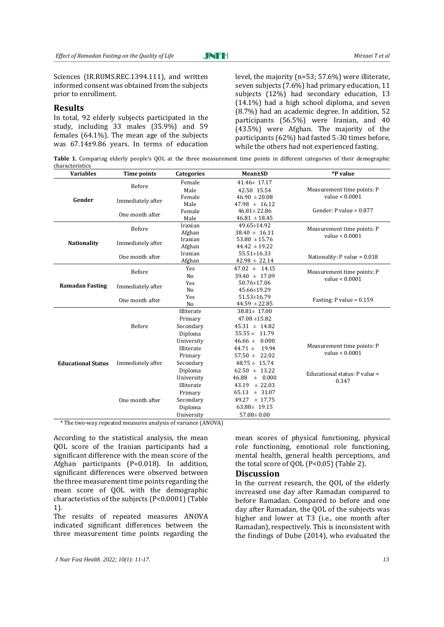JNFH

Sciences (IR.RUMS.REC.1394.111), and written informed consent was obtained from the subjects prior to enrollment.

#### **Results**

In total, 92 elderly subjects participated in the study, including 33 males (35.9%) and 59 females (64.1%). The mean age of the subjects was 67.14±9.86 years. In terms of education level, the majority (n=53; 57.6%) were illiterate, seven subjects (7.6%) had primary education, 11 subjects (12%) had secondary education, 13 (14.1%) had a high school diploma, and seven (8.7%) had an academic degree. In addition, 52 participants (56.5%) were Iranian, and 40 (43.5%) were Afghan. The majority of the participants (62%) had fasted 5-30 times before, while the others had not experienced fasting.

Table 1. Comparing elderly people's QOL at the three measurement time points in different categories of their demographic characteristics

| <b>Variables</b>          | <b>Time points</b> | <b>Categories</b> | Mean±SD                                  | *P value                       |
|---------------------------|--------------------|-------------------|------------------------------------------|--------------------------------|
|                           | Before             | Female            | $41.46 \pm 17.17$                        |                                |
|                           |                    | Male              | 42.50 15.54                              | Measurement time points: P     |
| Gender                    | Immediately after  | Female            | $46.90 \pm 20.08$                        | value < 0.0001                 |
|                           |                    | Male              | $47.98 \pm 16.12$                        |                                |
|                           | One month after    | Female            | $46.81 \pm 22.86$                        | Gender: P value = $0.877$      |
|                           |                    | Male              | $46.81 \pm 18.45$                        |                                |
|                           | Before             | Iranian           | 49.65±14.92                              | Measurement time points: P     |
|                           |                    | Afghan            | $38.40 \pm 16.11$                        | value $< 0.0001$               |
| <b>Nationality</b>        | Immediately after  | Iranian           | $53.80 \pm 15.76$                        |                                |
|                           |                    | Afghan            | $44.42 \pm 19.22$                        |                                |
|                           | One month after    | Iranian           | 55.51±16.33                              | Nationality: $P$ value = 0.018 |
|                           |                    | Afghan            | $42.98 \pm 22.14$                        |                                |
|                           | Yes<br>Before      | $47.02 \pm 14.15$ | Measurement time points: P               |                                |
|                           |                    | N <sub>o</sub>    | $39.40 \pm 17.09$                        | value < 0.0001                 |
| <b>Ramadan Fasting</b>    | Immediately after  | Yes               | 50.76±17.06                              |                                |
|                           |                    | N <sub>0</sub>    | 45.66±19.29                              |                                |
|                           | One month after    | Yes               | $51.53 \pm 16.79$                        | Fasting: $P$ value = 0.159     |
|                           |                    | N <sub>o</sub>    | $44.59 \pm 22.85$                        |                                |
|                           |                    | Illiterate        | $38.81 \pm 17.00$                        |                                |
|                           |                    | Primary           | $47.08 \pm 15.82$                        |                                |
|                           | Before             | Secondary         | $45.31 \pm 14.82$                        |                                |
|                           |                    | Diploma           | $55.55 \pm 11.79$                        |                                |
|                           |                    | University        | $46.66 \pm 0.000$                        | Measurement time points: P     |
|                           |                    | Illiterate        | $44.71 \pm$<br>19.94<br>value $< 0.0001$ |                                |
|                           |                    | Primary           | $57.50 \pm 22.02$                        |                                |
| <b>Educational Status</b> | Immediately after  | Secondary         | $48.75 \pm 15.74$                        |                                |
|                           |                    | Diploma           | $62.50 \pm 13.22$                        | Educational status: P value =  |
|                           |                    | University        | $\pm$ 0.000<br>46.88                     | 0.347                          |
|                           | One month after    | Illiterate        | $43.19 \pm 22.03$                        |                                |
|                           |                    | Primary           | 65.13<br>± 31.07                         |                                |
|                           |                    | Secondary         | $49.27 \pm 17.75$                        |                                |
|                           |                    | Diploma           | $63.88 \pm 19.15$                        |                                |
|                           |                    | University        | $57.08 \pm 0.00$                         |                                |
| a ma                      |                    | 1.1101            |                                          |                                |

\* The two-way repeated measures analysis of variance (ANOVA)

According to the statistical analysis, the mean QOL score of the Iranian participants had a significant difference with the mean score of the Afghan participants (P=0.018). In addition, significant differences were observed between the three measurement time points regarding the mean score of QOL with the demographic characteristics of the subjects (P<0.0001) (Table 1).

The results of repeated measures ANOVA indicated significant differences between the three measurement time points regarding the

mean scores of physical functioning, physical role functioning, emotional role functioning, mental health, general health perceptions, and the total score of QOL (P<0.05) (Table 2).

#### **Discussion**

In the current research, the QOL of the elderly increased one day after Ramadan compared to before Ramadan. Compared to before and one day after Ramadan, the QOL of the subjects was higher and lower at T3 (i.e., one month after Ramadan), respectively. This is inconsistent with the findings of Dube (2014), who evaluated the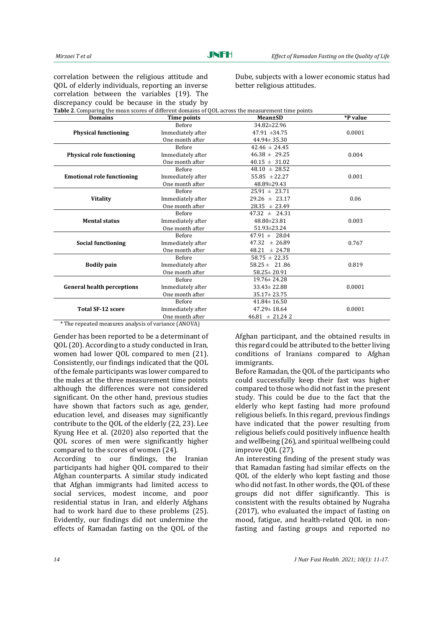correlation between the religious attitude and QOL of elderly individuals, reporting an inverse correlation between the variables [\(19\)](#page-5-16). The discrepancy could be because in the study by<br>Table 2. Comparing the mean scenes of different domains of Dube, subjects with a lower economic status had better religious attitudes.

| <b>Domains</b>                    | Time points       | <b>Mean±SD</b>     | *P value |
|-----------------------------------|-------------------|--------------------|----------|
|                                   | <b>Before</b>     | 34.82±22.96        |          |
| <b>Physical functioning</b>       | Immediately after | $47.91 \pm 34.75$  | 0.0001   |
|                                   | One month after   | $44.94 \pm 35.30$  |          |
|                                   | Before            | $42.46 \pm 24.45$  |          |
| <b>Physical role functioning</b>  | Immediately after | $46.38 \pm 29.25$  | 0.004    |
|                                   | One month after   | $40.15 \pm 31.02$  |          |
|                                   | Before            | $48.10 \pm 28.52$  |          |
| <b>Emotional role functioning</b> | Immediately after | $55.85 \pm 22.27$  | 0.001    |
|                                   | One month after   | 48.89±29.43        |          |
|                                   | <b>Before</b>     | $25.91 \pm 23.71$  |          |
| <b>Vitality</b>                   | Immediately after | $29.26 \pm 23.17$  | 0.06     |
|                                   | One month after   | $28.35 \pm 23.49$  |          |
|                                   | Before            | $47.32 \pm 24.31$  |          |
| <b>Mental status</b>              | Immediately after | 48.80±23.81        | 0.003    |
|                                   | One month after   | $51.93 \pm 23.24$  |          |
|                                   | Before            | $47.91 \pm 28.04$  |          |
| <b>Social functioning</b>         | Immediately after | $47.32 \pm 26.89$  | 0.767    |
|                                   | One month after   | $48.21 \pm 24.78$  |          |
|                                   | Before            | $58.75 \pm 22.35$  |          |
| <b>Bodily pain</b>                | Immediately after | $58.25 \pm 21.86$  | 0.819    |
|                                   | One month after   | $58.25 \pm 20.91$  |          |
|                                   | <b>Before</b>     | $19.76 \pm 24.28$  |          |
| <b>General health perceptions</b> | Immediately after | $33.43 \pm 22.88$  | 0.0001   |
|                                   | One month after   | $35.17 \pm 23.75$  |          |
|                                   | <b>Before</b>     | $41.84 \pm 16.50$  |          |
| <b>Total SF-12 score</b>          | Immediately after | $47.29 \pm 18.64$  | 0.0001   |
|                                   | One month after   | $46.81 \pm 21.242$ |          |

Gender has been reported to be a determinant of QOL [\(20\)](#page-5-17). According to a study conducted in Iran, women had lower QOL compared to men [\(21\)](#page-5-18). Consistently, our findings indicated that the QOL of the female participants was lower compared to the males at the three measurement time points although the differences were not considered significant. On the other hand, previous studies have shown that factors such as age, gender, education level, and diseases may significantly contribute to the QOL of the elderly [\(22,](#page-5-19) [23\)](#page-5-20). Lee Kyung Hee et al. (2020) also reported that the QOL scores of men were significantly higher compared to the scores of women [\(24\)](#page-5-21).

According to our findings, the Iranian participants had higher QOL compared to their Afghan counterparts. A similar study indicated that Afghan immigrants had limited access to social services, modest income, and poor residential status in Iran, and elderly Afghans had to work hard due to these problems [\(25\)](#page-5-22). Evidently, our findings did not undermine the effects of Ramadan fasting on the QOL of the

Afghan participant, and the obtained results in this regard could be attributed to the better living conditions of Iranians compared to Afghan immigrants.

Before Ramadan, the QOL of the participants who could successfully keep their fast was higher compared to those who did not fast in the present study. This could be due to the fact that the elderly who kept fasting had more profound religious beliefs. In this regard, previous findings have indicated that the power resulting from religious beliefs could positively influence health and wellbeing [\(26\)](#page-5-23), and spiritual wellbeing could improve QOL [\(27\)](#page-5-24).

An interesting finding of the present study was that Ramadan fasting had similar effects on the QOL of the elderly who kept fasting and those who did not fast. In other words, the QOL of these groups did not differ significantly. This is consistent with the results obtained by Nugraha (2017), who evaluated the impact of fasting on mood, fatigue, and health-related QOL in nonfasting and fasting groups and reported no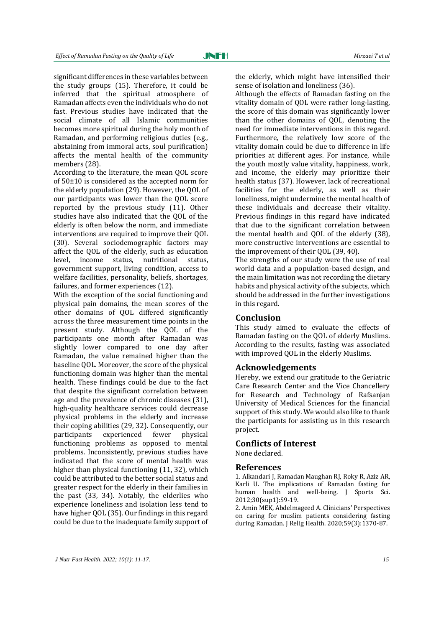significant differences in these variables between the study groups [\(15\)](#page-5-12). Therefore, it could be inferred that the spiritual atmosphere of Ramadan affects even the individuals who do not fast. Previous studies have indicated that the social climate of all Islamic communities becomes more spiritual during the holy month of Ramadan, and performing religious duties (e.g., abstaining from immoral acts, soul purification) affects the mental health of the community members [\(28\)](#page-5-25).

According to the literature, the mean QOL score of 50±10 is considered as the accepted norm for the elderly population [\(29\)](#page-5-26). However, the QOL of our participants was lower than the QOL score reported by the previous study [\(11\)](#page-5-8). Other studies have also indicated that the QOL of the elderly is often below the norm, and immediate interventions are required to improve their QOL [\(30\)](#page-5-27). Several sociodemographic factors may affect the QOL of the elderly, such as education level, income status, nutritional status, government support, living condition, access to welfare facilities, personality, beliefs, shortages, failures, and former experiences [\(12\)](#page-5-9).

With the exception of the social functioning and physical pain domains, the mean scores of the other domains of QOL differed significantly across the three measurement time points in the present study. Although the QOL of the participants one month after Ramadan was slightly lower compared to one day after Ramadan, the value remained higher than the baseline QOL. Moreover, the score of the physical functioning domain was higher than the mental health. These findings could be due to the fact that despite the significant correlation between age and the prevalence of chronic diseases [\(31\)](#page-5-28), high-quality healthcare services could decrease physical problems in the elderly and increase their coping abilities [\(29,](#page-5-26) [32\)](#page-5-29). Consequently, our participants experienced fewer physical functioning problems as opposed to mental problems. Inconsistently, previous studies have indicated that the score of mental health was higher than physical functioning [\(11,](#page-5-8) [32\)](#page-5-29), which could be attributed to the better social status and greater respect for the elderly in their families in the past [\(33,](#page-5-30) [34\)](#page-6-0). Notably, the elderlies who experience loneliness and isolation less tend to have higher QOL [\(35\)](#page-6-1). Our findings in this regard could be due to the inadequate family support of

the elderly, which might have intensified their sense of isolation and loneliness [\(36\)](#page-6-2).

Although the effects of Ramadan fasting on the vitality domain of QOL were rather long-lasting, the score of this domain was significantly lower than the other domains of QOL, denoting the need for immediate interventions in this regard. Furthermore, the relatively low score of the vitality domain could be due to difference in life priorities at different ages. For instance, while the youth mostly value vitality, happiness, work, and income, the elderly may prioritize their health status [\(37\)](#page-6-3). However, lack of recreational facilities for the elderly, as well as their loneliness, might undermine the mental health of these individuals and decrease their vitality. Previous findings in this regard have indicated that due to the significant correlation between the mental health and QOL of the elderly [\(38\)](#page-6-4), more constructive interventions are essential to the improvement of their QOL [\(39,](#page-6-5) [40\)](#page-6-6).

The strengths of our study were the use of real world data and a population-based design, and the main limitation was not recording the dietary habits and physical activity of the subjects, which should be addressed in the further investigations in this regard.

## **Conclusion**

This study aimed to evaluate the effects of Ramadan fasting on the QOL of elderly Muslims. According to the results, fasting was associated with improved QOL in the elderly Muslims.

### **Acknowledgements**

Hereby, we extend our gratitude to the Geriatric Care Research Center and the Vice Chancellery for Research and Technology of Rafsanjan University of Medical Sciences for the financial support of this study. We would also like to thank the participants for assisting us in this research project.

# **Conflicts of Interest**

None declared.

#### **References**

<span id="page-4-0"></span>1. Alkandari J, Ramadan Maughan RJ, Roky R, Aziz AR, Karli U. The implications of Ramadan fasting for human health and well-being. J Sports Sci. 2012;30(sup1):S9-19.

<span id="page-4-1"></span>2. Amin MEK, Abdelmageed A. Clinicians' Perspectives on caring for muslim patients considering fasting during Ramadan. J Relig Health. 2020;59(3):1370-87.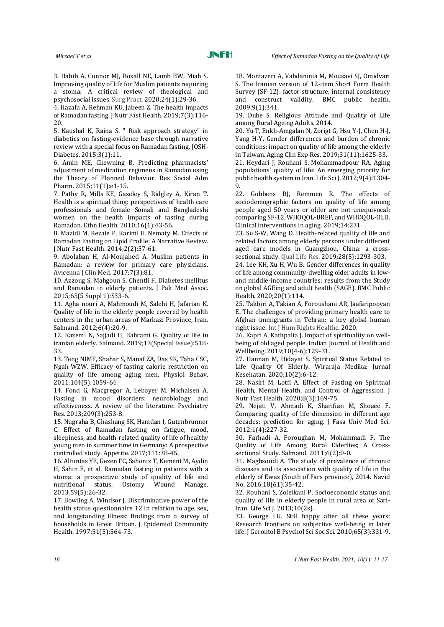<span id="page-5-0"></span>3. Habib A, Connor MJ, Boxall NE, Lamb BW, Miah S. Improving quality of life for Muslim patients requiring a stoma: A critical review of theological and psychosocial issues. Surg Pract. 2020;24(1):29-36.

<span id="page-5-1"></span>4. Hazafa A, Rehman KU, Jabeen Z. The health impacts of Ramadan fasting. J Nutr Fast Health. 2019;7(3):116- 20.

<span id="page-5-2"></span>5. Kaushal K, Raina S. " Risk approach strategy" in diabetics on fasting-evidence base through narrative review with a special focus on Ramadan fasting. JOSH-Diabetes. 2015;3(1):11.

<span id="page-5-3"></span>6. Amin ME, Chewning B. Predicting pharmacists' adjustment of medication regimens in Ramadan using the Theory of Planned Behavior. Res Social Adm Pharm. 2015;11(1):e1-15.

<span id="page-5-4"></span>7. Pathy R, Mills KE, Gazeley S, Ridgley A, Kiran T. Health is a spiritual thing: perspectives of health care professionals and female Somali and Bangladeshi women on the health impacts of fasting during Ramadan. Ethn Health. 2010;16(1):43-56.

<span id="page-5-5"></span>8. Mazidi M, Rezaie P, Karimi E, Nematy M. Effects of Ramadan Fasting on Lipid Profile: A Narrative Review. J Nutr Fast Health. 2014;2(2):57-61.

<span id="page-5-6"></span>9. Abolaban H, Al-Moujahed A. Muslim patients in Ramadan: a review for primary care physicians. Avicenna J Clin Med. 2017;7(3):81.

<span id="page-5-7"></span>10. Azzoug S, Mahgoun S, Chentli F. Diabetes mellitus and Ramadan in elderly patients. J Pak Med Assoc. 2015;65(5 Suppl 1):S33-6.

<span id="page-5-8"></span>11. Agha nouri A, Mahmoudi M, Salehi H, Jafarian K. Quality of life in the elderly people covered by health centers in the urban areas of Markazi Province, Iran. Salmand. 2012;6(4):20-9.

<span id="page-5-9"></span>12. Kazemi N, Sajjadi H, Bahrami G. Quality of life in iranian elderly. Salmand. 2019;13(Special Issue):518- 33.

<span id="page-5-10"></span>13. Teng NIMF, Shahar S, Manaf ZA, Das SK, Taha CSC, Ngah WZW. Efficacy of fasting calorie restriction on quality of life among aging men. Physiol Behav. 2011;104(5):1059-64.

<span id="page-5-11"></span>14. Fond G, Macgregor A, Leboyer M, Michalsen A. Fasting in mood disorders: neurobiology and effectiveness. A review of the literature. Psychiatry Res. 2013;209(3):253-8.

<span id="page-5-12"></span>15. Nugraha B, Ghashang SK, Hamdan I, Gutenbrunner C. Effect of Ramadan fasting on fatigue, mood, sleepiness, and health-related quality of life of healthy young men in summer time in Germany: A prospective controlled study. Appetite. 2017;111:38-45.

<span id="page-5-13"></span>16. Altuntas YE, Gezen FC, Sahoniz T, Kement M, Aydin H, Sahin F, et al. Ramadan fasting in patients with a stoma: a prospective study of quality of life and nutritional status. Ostomy Wound Manage. 2013;59(5):26-32.

<span id="page-5-14"></span>17. Bowling A, Windsor J. Discriminative power of the health status questionnaire 12 in relation to age, sex, and longstanding illness: findings from a survey of households in Great Britain. J Epidemiol Community Health. 1997;51(5):564-73.

<span id="page-5-15"></span>18. Montazeri A, Vahdaninia M, Mousavi SJ, Omidvari S. The Iranian version of 12-item Short Form Health Survey (SF-12): factor structure, internal consistency and construct validity. BMC public health. 2009;9(1):341.

<span id="page-5-16"></span>19. Dube S. Religious Attitude and Quality of Life among Rural Ageing Adults. 2014.

<span id="page-5-17"></span>20. Yu T, Enkh-Amgalan N, Zorigt G, Hsu Y-J, Chen H-J, Yang H-Y. Gender differences and burden of chronic conditions: impact on quality of life among the elderly in Taiwan. Aging Clin Exp Res. 2019;31(11):1625-33.

<span id="page-5-18"></span>21. Heydari J, Rouhani S, Mohammadpour RA. Aging populations' quality of life: An emerging priority for public health system in Iran. Life Sci J. 2012;9(4):1304- 9.

<span id="page-5-19"></span>22. Gobbens RJ, Remmen R. The effects of sociodemographic factors on quality of life among people aged 50 years or older are not unequivocal: comparing SF-12, WHOQOL-BREF, and WHOQOL-OLD. Clinical interventions in aging. 2019;14:231.

<span id="page-5-20"></span>23. Su S-W, Wang D. Health-related quality of life and related factors among elderly persons under different aged care models in Guangzhou, China: a crosssectional study. Qual Life Res. 2019;28(5):1293-303.

<span id="page-5-21"></span>24. Lee KH, Xu H, Wu B. Gender differences in quality of life among community-dwelling older adults in lowand middle-income countries: results from the Study on global AGEing and adult health (SAGE). BMC Public Health. 2020;20(1):114.

<span id="page-5-22"></span>25. Takbiri A, Takian A, Foroushani AR, Jaafaripooyan E. The challenges of providing primary health care to Afghan immigrants in Tehran: a key global human right issue. Int J Hum Rights Healthc. 2020.

<span id="page-5-23"></span>26. Kapri A, Kathpalia J. Impact of spirituality on wellbeing of old aged people. Indian Journal of Health and Wellbeing. 2019;10(4-6):129-31.

<span id="page-5-24"></span>27. Hannan M, Hidayat S. Spiritual Status Related to Life Quality Of Elderly. Wiraraja Medika: Jurnal Kesehatan. 2020;10(2):6-12.

<span id="page-5-25"></span>28. Nasiri M, Lotfi A. Effect of Fasting on Spiritual Health, Mental Health, and Control of Aggression. J Nutr Fast Health. 2020;8(3):169-75.

<span id="page-5-26"></span>29. Nejati V, Ahmadi K, Sharifian M, Shoaee F. Comparing quality of life dimension in different age decades: prediction for aging. J Fasa Univ Med Sci. 2012;1(4):227-32.

<span id="page-5-27"></span>30. Farhadi A, Foroughan M, Mohammadi F. The Quality of Life Among Rural Elderlies; A Crosssectional Study. Salmand. 2011;6(2):0-0.

<span id="page-5-28"></span>31. Maghsoudi A. The study of prevalence of chronic diseases and its association with quality of life in the elderly of Ewaz (South of Fars province), 2014. Navid No. 2016;18(61):35-42.

<span id="page-5-29"></span>32. Rouhani S, Zoleikani P. Socioeconomic status and quality of life in elderly people in rural area of Sari-Iran. Life Sci J. 2013;10(2s).

<span id="page-5-30"></span>33. George LK. Still happy after all these years: Research frontiers on subjective well-being in later life. J Gerontol B Psychol Sci Soc Sci. 2010;65(3):331-9.